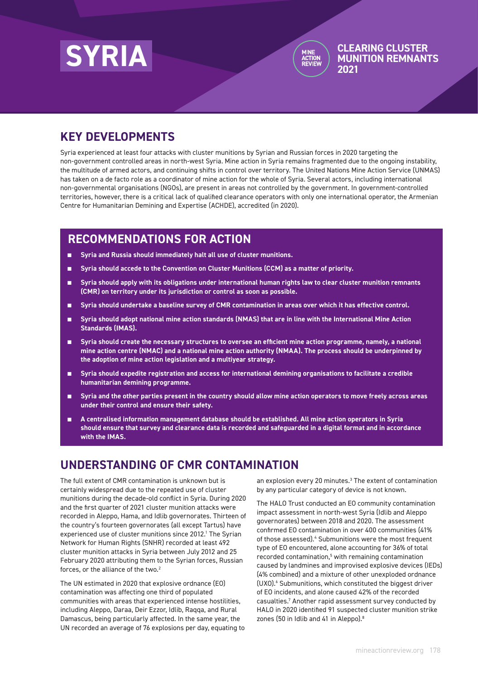



**CLEARING CLUSTER** 

# **KEY DEVELOPMENTS**

Syria experienced at least four attacks with cluster munitions by Syrian and Russian forces in 2020 targeting the non-government controlled areas in north-west Syria. Mine action in Syria remains fragmented due to the ongoing instability, the multitude of armed actors, and continuing shifts in control over territory. The United Nations Mine Action Service (UNMAS) has taken on a de facto role as a coordinator of mine action for the whole of Syria. Several actors, including international non-governmental organisations (NGOs), are present in areas not controlled by the government. In government-controlled territories, however, there is a critical lack of qualified clearance operators with only one international operator, the Armenian Centre for Humanitarian Demining and Expertise (ACHDE), accredited (in 2020).

# **RECOMMENDATIONS FOR ACTION**

- Syria and Russia should immediately halt all use of cluster munitions.
- Syria should accede to the Convention on Cluster Munitions (CCM) as a matter of priority.
- Syria should apply with its obligations under international human rights law to clear cluster munition remnants **(CMR) on territory under its jurisdiction or control as soon as possible.**
- Syria should undertake a baseline survey of CMR contamination in areas over which it has effective control.
- Syria should adopt national mine action standards (NMAS) that are in line with the International Mine Action **Standards (IMAS).**
- **Syria should create the necessary structures to oversee an efficient mine action programme, namely, a national mine action centre (NMAC) and a national mine action authority (NMAA). The process should be underpinned by the adoption of mine action legislation and a multiyear strategy.**
- **Syria should expedite registration and access for international demining organisations to facilitate a credible humanitarian demining programme.**
- Syria and the other parties present in the country should allow mine action operators to move freely across areas **under their control and ensure their safety.**
- **A centralised information management database should be established. All mine action operators in Syria should ensure that survey and clearance data is recorded and safeguarded in a digital format and in accordance with the IMAS.**

# **UNDERSTANDING OF CMR CONTAMINATION**

The full extent of CMR contamination is unknown but is certainly widespread due to the repeated use of cluster munitions during the decade-old conflict in Syria. During 2020 and the first quarter of 2021 cluster munition attacks were recorded in Aleppo, Hama, and Idlib governorates. Thirteen of the country's fourteen governorates (all except Tartus) have experienced use of cluster munitions since 2012.<sup>1</sup> The Syrian Network for Human Rights (SNHR) recorded at least 492 cluster munition attacks in Syria between July 2012 and 25 February 2020 attributing them to the Syrian forces, Russian forces, or the alliance of the two.<sup>2</sup>

The UN estimated in 2020 that explosive ordnance (EO) contamination was affecting one third of populated communities with areas that experienced intense hostilities, including Aleppo, Daraa, Deir Ezzor, Idlib, Raqqa, and Rural Damascus, being particularly affected. In the same year, the UN recorded an average of 76 explosions per day, equating to

an explosion every 20 minutes.<sup>3</sup> The extent of contamination by any particular category of device is not known.

The HALO Trust conducted an EO community contamination impact assessment in north-west Syria (Idlib and Aleppo governorates) between 2018 and 2020. The assessment confirmed EO contamination in over 400 communities (41% of those assessed).<sup>4</sup> Submunitions were the most frequent type of EO encountered, alone accounting for 36% of total recorded contamination,<sup>5</sup> with remaining contamination caused by landmines and improvised explosive devices (IEDs) (4% combined) and a mixture of other unexploded ordnance (UXO).<sup>6</sup> Submunitions, which constituted the biggest driver of EO incidents, and alone caused 42% of the recorded casualties.7 Another rapid assessment survey conducted by HALO in 2020 identified 91 suspected cluster munition strike zones (50 in Idlib and 41 in Aleppo).<sup>8</sup>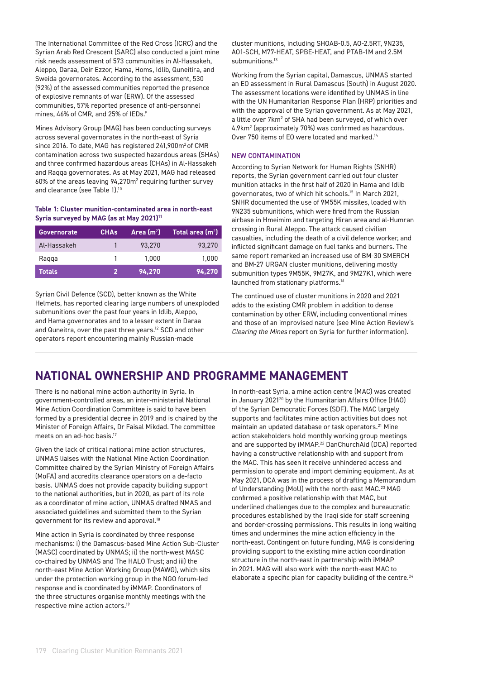The International Committee of the Red Cross (ICRC) and the Syrian Arab Red Crescent (SARC) also conducted a joint mine risk needs assessment of 573 communities in Al-Hassakeh, Aleppo, Daraa, Deir Ezzor, Hama, Homs, Idlib, Quneitira, and Sweida governorates. According to the assessment, 530 (92%) of the assessed communities reported the presence of explosive remnants of war (ERW). Of the assessed communities, 57% reported presence of anti-personnel mines, 46% of CMR, and 25% of IEDs.9

Mines Advisory Group (MAG) has been conducting surveys across several governorates in the north-east of Syria since 2016. To date, MAG has registered 241,900m<sup>2</sup> of CMR contamination across two suspected hazardous areas (SHAs) and three confirmed hazardous areas (CHAs) in Al-Hassakeh and Raqqa governorates. As at May 2021, MAG had released 60% of the areas leaving 94,270m<sup>2</sup> requiring further survey and clearance (see Table 1).10

#### **Table 1: Cluster munition-contaminated area in north-east**  Syria surveyed by MAG (as at May 2021)<sup>11</sup>

| <b>Governorate</b> | <b>CHAs</b> | Area $(m2)$ | Total area $(m2)$ |
|--------------------|-------------|-------------|-------------------|
| Al-Hassakeh        |             | 93.270      | 93.270            |
| Ragga              |             | 1.000       | 1.000             |
| <b>Totals</b>      | 2           | 94.270      | 94.270            |

Syrian Civil Defence (SCD), better known as the White Helmets, has reported clearing large numbers of unexploded submunitions over the past four years in Idlib, Aleppo, and Hama governorates and to a lesser extent in Daraa and Quneitra, over the past three years.<sup>12</sup> SCD and other operators report encountering mainly Russian-made

cluster munitions, including SHOAB-0.5, AO-2.5RT, 9N235, AO1-SCH, M77-HEAT, SPBE-HEAT, and PTAB-1M and 2.5M submunitions.<sup>13</sup>

Working from the Syrian capital, Damascus, UNMAS started an EO assessment in Rural Damascus (South) in August 2020. The assessment locations were identified by UNMAS in line with the UN Humanitarian Response Plan (HRP) priorities and with the approval of the Syrian government. As at May 2021, a little over 7km² of SHA had been surveyed, of which over 4.9km2 (approximately 70%) was confirmed as hazardous. Over 750 items of EO were located and marked.14

#### NEW CONTAMINATION

According to Syrian Network for Human Rights (SNHR) reports, the Syrian government carried out four cluster munition attacks in the first half of 2020 in Hama and Idlib governorates, two of which hit schools.15 In March 2021, SNHR documented the use of 9M55K missiles, loaded with 9N235 submunitions, which were fired from the Russian airbase in Hmeimim and targeting Hiran area and al-Humran crossing in Rural Aleppo. The attack caused civilian casualties, including the death of a civil defence worker, and inflicted significant damage on fuel tanks and burners. The same report remarked an increased use of BM-30 SMERCH and BM-27 URGAN cluster munitions, delivering mostly submunition types 9M55K, 9M27K, and 9M27K1, which were launched from stationary platforms.16

The continued use of cluster munitions in 2020 and 2021 adds to the existing CMR problem in addition to dense contamination by other ERW, including conventional mines and those of an improvised nature (see Mine Action Review's *Clearing the Mines* report on Syria for further information).

# **NATIONAL OWNERSHIP AND PROGRAMME MANAGEMENT**

There is no national mine action authority in Syria. In government-controlled areas, an inter-ministerial National Mine Action Coordination Committee is said to have been formed by a presidential decree in 2019 and is chaired by the Minister of Foreign Affairs, Dr Faisal Mikdad. The committee meets on an ad-hoc basis.<sup>17</sup>

Given the lack of critical national mine action structures, UNMAS liaises with the National Mine Action Coordination Committee chaired by the Syrian Ministry of Foreign Affairs (MoFA) and accredits clearance operators on a de-facto basis. UNMAS does not provide capacity building support to the national authorities, but in 2020, as part of its role as a coordinator of mine action, UNMAS drafted NMAS and associated guidelines and submitted them to the Syrian government for its review and approval.<sup>18</sup>

Mine action in Syria is coordinated by three response mechanisms: i) the Damascus-based Mine Action Sub-Cluster (MASC) coordinated by UNMAS; ii) the north-west MASC co-chaired by UNMAS and The HALO Trust; and iii) the north-east Mine Action Working Group (MAWG), which sits under the protection working group in the NGO forum-led response and is coordinated by iMMAP. Coordinators of the three structures organise monthly meetings with the respective mine action actors.19

In north-east Syria, a mine action centre (MAC) was created in January 2021<sup>20</sup> by the Humanitarian Affairs Office (HAO) of the Syrian Democratic Forces (SDF). The MAC largely supports and facilitates mine action activities but does not maintain an updated database or task operators.<sup>21</sup> Mine action stakeholders hold monthly working group meetings and are supported by iMMAP.22 DanChurchAid (DCA) reported having a constructive relationship with and support from the MAC. This has seen it receive unhindered access and permission to operate and import demining equipment. As at May 2021, DCA was in the process of drafting a Memorandum of Understanding (MoU) with the north-east MAC.<sup>23</sup> MAG confirmed a positive relationship with that MAC, but underlined challenges due to the complex and bureaucratic procedures established by the Iraqi side for staff screening and border-crossing permissions. This results in long waiting times and undermines the mine action efficiency in the north-east. Contingent on future funding, MAG is considering providing support to the existing mine action coordination structure in the north-east in partnership with iMMAP in 2021. MAG will also work with the north-east MAC to elaborate a specific plan for capacity building of the centre.<sup>24</sup>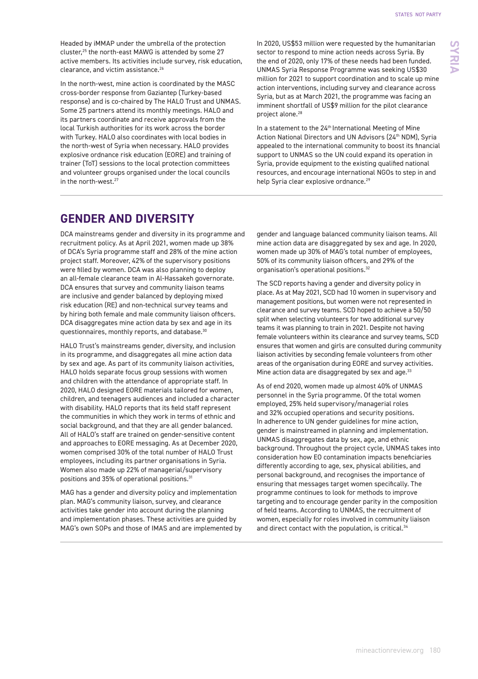Headed by iMMAP under the umbrella of the protection cluster,25 the north-east MAWG is attended by some 27 active members. Its activities include survey, risk education, clearance, and victim assistance.<sup>26</sup>

In the north-west, mine action is coordinated by the MASC cross-border response from Gaziantep (Turkey-based response) and is co-chaired by The HALO Trust and UNMAS. Some 25 partners attend its monthly meetings. HALO and its partners coordinate and receive approvals from the local Turkish authorities for its work across the border with Turkey. HALO also coordinates with local bodies in the north-west of Syria when necessary. HALO provides explosive ordnance risk education (EORE) and training of trainer (ToT) sessions to the local protection committees and volunteer groups organised under the local councils in the north-west.<sup>27</sup>

In 2020, US\$53 million were requested by the humanitarian sector to respond to mine action needs across Syria. By the end of 2020, only 17% of these needs had been funded. UNMAS Syria Response Programme was seeking US\$30 million for 2021 to support coordination and to scale up mine action interventions, including survey and clearance across Syria, but as at March 2021, the programme was facing an imminent shortfall of US\$9 million for the pilot clearance project alone.<sup>28</sup>

In a statement to the 24<sup>th</sup> International Meeting of Mine Action National Directors and UN Advisors (24th NDM), Syria appealed to the international community to boost its financial support to UNMAS so the UN could expand its operation in Syria, provide equipment to the existing qualified national resources, and encourage international NGOs to step in and help Syria clear explosive ordnance.<sup>29</sup>

### **GENDER AND DIVERSITY**

DCA mainstreams gender and diversity in its programme and recruitment policy. As at April 2021, women made up 38% of DCA's Syria programme staff and 28% of the mine action project staff. Moreover, 42% of the supervisory positions were filled by women. DCA was also planning to deploy an all-female clearance team in Al-Hassakeh governorate. DCA ensures that survey and community liaison teams are inclusive and gender balanced by deploying mixed risk education (RE) and non-technical survey teams and by hiring both female and male community liaison officers. DCA disaggregates mine action data by sex and age in its questionnaires, monthly reports, and database.30

HALO Trust's mainstreams gender, diversity, and inclusion in its programme, and disaggregates all mine action data by sex and age. As part of its community liaison activities, HALO holds separate focus group sessions with women and children with the attendance of appropriate staff. In 2020, HALO designed EORE materials tailored for women, children, and teenagers audiences and included a character with disability. HALO reports that its field staff represent the communities in which they work in terms of ethnic and social background, and that they are all gender balanced. All of HALO's staff are trained on gender-sensitive content and approaches to EORE messaging. As at December 2020, women comprised 30% of the total number of HALO Trust employees, including its partner organisations in Syria. Women also made up 22% of managerial/supervisory positions and 35% of operational positions.31

MAG has a gender and diversity policy and implementation plan. MAG's community liaison, survey, and clearance activities take gender into account during the planning and implementation phases. These activities are guided by MAG's own SOPs and those of IMAS and are implemented by gender and language balanced community liaison teams. All mine action data are disaggregated by sex and age. In 2020, women made up 30% of MAG's total number of employees, 50% of its community liaison officers, and 29% of the organisation's operational positions.32

The SCD reports having a gender and diversity policy in place. As at May 2021, SCD had 10 women in supervisory and management positions, but women were not represented in clearance and survey teams. SCD hoped to achieve a 50/50 split when selecting volunteers for two additional survey teams it was planning to train in 2021. Despite not having female volunteers within its clearance and survey teams, SCD ensures that women and girls are consulted during community liaison activities by seconding female volunteers from other areas of the organisation during EORE and survey activities. Mine action data are disaggregated by sex and age.<sup>33</sup>

As of end 2020, women made up almost 40% of UNMAS personnel in the Syria programme. Of the total women employed, 25% held supervisory/managerial roles and 32% occupied operations and security positions. In adherence to UN gender guidelines for mine action, gender is mainstreamed in planning and implementation. UNMAS disaggregates data by sex, age, and ethnic background. Throughout the project cycle, UNMAS takes into consideration how EO contamination impacts beneficiaries differently according to age, sex, physical abilities, and personal background, and recognises the importance of ensuring that messages target women specifically. The programme continues to look for methods to improve targeting and to encourage gender parity in the composition of field teams. According to UNMAS, the recruitment of women, especially for roles involved in community liaison and direct contact with the population, is critical.<sup>34</sup>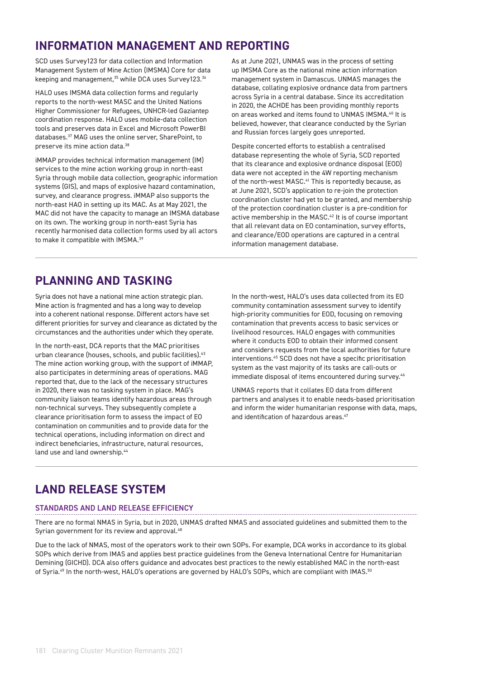# **INFORMATION MANAGEMENT AND REPORTING**

SCD uses Survey123 for data collection and Information Management System of Mine Action (IMSMA) Core for data keeping and management,<sup>35</sup> while DCA uses Survey123.<sup>36</sup>

HALO uses IMSMA data collection forms and regularly reports to the north-west MASC and the United Nations Higher Commissioner for Refugees, UNHCR-led Gaziantep coordination response. HALO uses mobile-data collection tools and preserves data in Excel and Microsoft PowerBI databases.37 MAG uses the online server, SharePoint, to preserve its mine action data.<sup>38</sup>

iMMAP provides technical information management (IM) services to the mine action working group in north-east Syria through mobile data collection, geographic information systems (GIS), and maps of explosive hazard contamination, survey, and clearance progress. iMMAP also supports the north-east HAO in setting up its MAC. As at May 2021, the MAC did not have the capacity to manage an IMSMA database on its own. The working group in north-east Syria has recently harmonised data collection forms used by all actors to make it compatible with IMSMA.<sup>39</sup>

As at June 2021, UNMAS was in the process of setting up IMSMA Core as the national mine action information management system in Damascus. UNMAS manages the database, collating explosive ordnance data from partners across Syria in a central database. Since its accreditation in 2020, the ACHDE has been providing monthly reports on areas worked and items found to UNMAS IMSMA.40 It is believed, however, that clearance conducted by the Syrian and Russian forces largely goes unreported.

Despite concerted efforts to establish a centralised database representing the whole of Syria, SCD reported that its clearance and explosive ordnance disposal (EOD) data were not accepted in the 4W reporting mechanism of the north-west MASC.<sup>41</sup> This is reportedly because, as at June 2021, SCD's application to re-join the protection coordination cluster had yet to be granted, and membership of the protection coordination cluster is a pre-condition for active membership in the MASC.<sup>42</sup> It is of course important that all relevant data on EO contamination, survey efforts, and clearance/EOD operations are captured in a central information management database.

# **PLANNING AND TASKING**

Syria does not have a national mine action strategic plan. Mine action is fragmented and has a long way to develop into a coherent national response. Different actors have set different priorities for survey and clearance as dictated by the circumstances and the authorities under which they operate.

In the north-east, DCA reports that the MAC prioritises urban clearance (houses, schools, and public facilities).<sup>43</sup> The mine action working group, with the support of iMMAP, also participates in determining areas of operations. MAG reported that, due to the lack of the necessary structures in 2020, there was no tasking system in place. MAG's community liaison teams identify hazardous areas through non-technical surveys. They subsequently complete a clearance prioritisation form to assess the impact of EO contamination on communities and to provide data for the technical operations, including information on direct and indirect beneficiaries, infrastructure, natural resources, land use and land ownership.<sup>44</sup>

In the north-west, HALO's uses data collected from its EO community contamination assessment survey to identify high-priority communities for EOD, focusing on removing contamination that prevents access to basic services or livelihood resources. HALO engages with communities where it conducts EOD to obtain their informed consent and considers requests from the local authorities for future interventions.45 SCD does not have a specific prioritisation system as the vast majority of its tasks are call-outs or immediate disposal of items encountered during survey.<sup>46</sup>

UNMAS reports that it collates EO data from different partners and analyses it to enable needs-based prioritisation and inform the wider humanitarian response with data, maps, and identification of hazardous areas.<sup>47</sup>

# **LAND RELEASE SYSTEM**

### STANDARDS AND LAND RELEASE EFFICIENCY

There are no formal NMAS in Syria, but in 2020, UNMAS drafted NMAS and associated guidelines and submitted them to the Syrian government for its review and approval.<sup>48</sup>

Due to the lack of NMAS, most of the operators work to their own SOPs. For example, DCA works in accordance to its global SOPs which derive from IMAS and applies best practice guidelines from the Geneva International Centre for Humanitarian Demining (GICHD). DCA also offers guidance and advocates best practices to the newly established MAC in the north-east of Syria.<sup>49</sup> In the north-west, HALO's operations are governed by HALO's SOPs, which are compliant with IMAS.<sup>50</sup>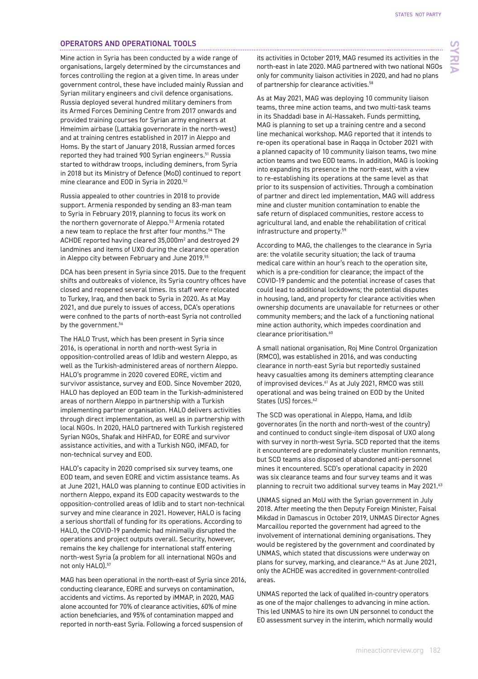**SYRIA**

### OPERATORS AND OPERATIONAL TOOLS

Mine action in Syria has been conducted by a wide range of organisations, largely determined by the circumstances and forces controlling the region at a given time. In areas under government control, these have included mainly Russian and Syrian military engineers and civil defence organisations. Russia deployed several hundred military deminers from its Armed Forces Demining Centre from 2017 onwards and provided training courses for Syrian army engineers at Hmeimim airbase (Lattakia governorate in the north-west) and at training centres established in 2017 in Aleppo and Homs. By the start of January 2018, Russian armed forces reported they had trained 900 Syrian engineers.<sup>51</sup> Russia started to withdraw troops, including deminers, from Syria in 2018 but its Ministry of Defence (MoD) continued to report mine clearance and EOD in Syria in 2020.52

Russia appealed to other countries in 2018 to provide support. Armenia responded by sending an 83-man team to Syria in February 2019, planning to focus its work on the northern governorate of Aleppo.<sup>53</sup> Armenia rotated a new team to replace the first after four months.<sup>54</sup> The ACHDE reported having cleared 35,000m2 and destroyed 29 landmines and items of UXO during the clearance operation in Aleppo city between February and June 2019.55

DCA has been present in Syria since 2015. Due to the frequent shifts and outbreaks of violence, its Syria country offices have closed and reopened several times. Its staff were relocated to Turkey, Iraq, and then back to Syria in 2020. As at May 2021, and due purely to issues of access, DCA's operations were confined to the parts of north-east Syria not controlled by the government.<sup>56</sup>

The HALO Trust, which has been present in Syria since 2016, is operational in north and north-west Syria in opposition-controlled areas of Idlib and western Aleppo, as well as the Turkish-administered areas of northern Aleppo. HALO's programme in 2020 covered EORE, victim and survivor assistance, survey and EOD. Since November 2020, HALO has deployed an EOD team in the Turkish-administered areas of northern Aleppo in partnership with a Turkish implementing partner organisation. HALO delivers activities through direct implementation, as well as in partnership with local NGOs. In 2020, HALO partnered with Turkish registered Syrian NGOs, Shafak and HiHFAD, for EORE and survivor assistance activities, and with a Turkish NGO, iMFAD, for non-technical survey and EOD.

HALO's capacity in 2020 comprised six survey teams, one EOD team, and seven EORE and victim assistance teams. As at June 2021, HALO was planning to continue EOD activities in northern Aleppo, expand its EOD capacity westwards to the opposition-controlled areas of Idlib and to start non-technical survey and mine clearance in 2021. However, HALO is facing a serious shortfall of funding for its operations. According to HALO, the COVID-19 pandemic had minimally disrupted the operations and project outputs overall. Security, however, remains the key challenge for international staff entering north-west Syria (a problem for all international NGOs and not only HALO).<sup>57</sup>

MAG has been operational in the north-east of Syria since 2016, conducting clearance, EORE and surveys on contamination, accidents and victims. As reported by iMMAP, in 2020, MAG alone accounted for 70% of clearance activities, 60% of mine action beneficiaries, and 95% of contamination mapped and reported in north-east Syria. Following a forced suspension of

its activities in October 2019, MAG resumed its activities in the north-east in late 2020. MAG partnered with two national NGOs only for community liaison activities in 2020, and had no plans of partnership for clearance activities.<sup>58</sup>

As at May 2021, MAG was deploying 10 community liaison teams, three mine action teams, and two multi-task teams in its Shaddadi base in Al-Hassakeh. Funds permitting, MAG is planning to set up a training centre and a second line mechanical workshop. MAG reported that it intends to re-open its operational base in Raqqa in October 2021 with a planned capacity of 10 community liaison teams, two mine action teams and two EOD teams. In addition, MAG is looking into expanding its presence in the north-east, with a view to re-establishing its operations at the same level as that prior to its suspension of activities. Through a combination of partner and direct led implementation, MAG will address mine and cluster munition contamination to enable the safe return of displaced communities, restore access to agricultural land, and enable the rehabilitation of critical infrastructure and property.59

According to MAG, the challenges to the clearance in Syria are: the volatile security situation; the lack of trauma medical care within an hour's reach to the operation site, which is a pre-condition for clearance; the impact of the COVID-19 pandemic and the potential increase of cases that could lead to additional lockdowns; the potential disputes in housing, land, and property for clearance activities when ownership documents are unavailable for returnees or other community members; and the lack of a functioning national mine action authority, which impedes coordination and clearance prioritisation.<sup>60</sup>

A small national organisation, Roj Mine Control Organization (RMCO), was established in 2016, and was conducting clearance in north-east Syria but reportedly sustained heavy casualties among its deminers attempting clearance of improvised devices.<sup>61</sup> As at July 2021, RMCO was still operational and was being trained on EOD by the United States (US) forces.<sup>62</sup>

The SCD was operational in Aleppo, Hama, and Idlib governorates (in the north and north-west of the country) and continued to conduct single-item disposal of UXO along with survey in north-west Syria. SCD reported that the items it encountered are predominately cluster munition remnants, but SCD teams also disposed of abandoned anti-personnel mines it encountered. SCD's operational capacity in 2020 was six clearance teams and four survey teams and it was planning to recruit two additional survey teams in May 2021.<sup>63</sup>

UNMAS signed an MoU with the Syrian government in July 2018. After meeting the then Deputy Foreign Minister, Faisal Mikdad in Damascus in October 2019, UNMAS Director Agnes Marcaillou reported the government had agreed to the involvement of international demining organisations. They would be registered by the government and coordinated by UNMAS, which stated that discussions were underway on plans for survey, marking, and clearance.<sup>64</sup> As at June 2021, only the ACHDE was accredited in government-controlled areas.

UNMAS reported the lack of qualified in-country operators as one of the major challenges to advancing in mine action. This led UNMAS to hire its own UN personnel to conduct the EO assessment survey in the interim, which normally would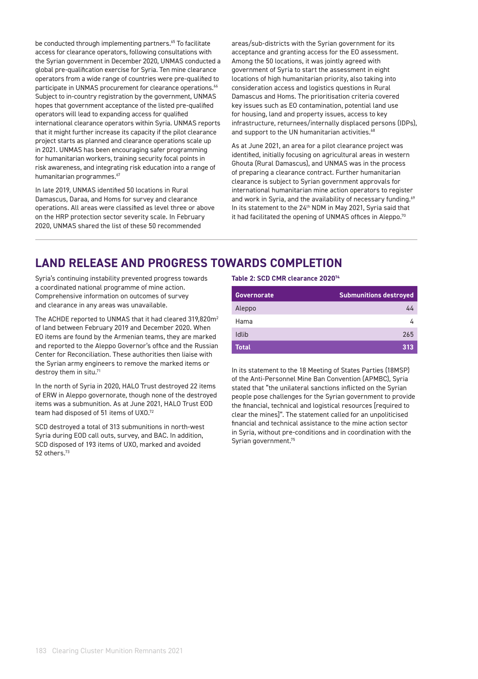be conducted through implementing partners.<sup>65</sup> To facilitate access for clearance operators, following consultations with the Syrian government in December 2020, UNMAS conducted a global pre-qualification exercise for Syria. Ten mine clearance operators from a wide range of countries were pre-qualified to participate in UNMAS procurement for clearance operations.<sup>66</sup> Subject to in-country registration by the government, UNMAS hopes that government acceptance of the listed pre-qualified operators will lead to expanding access for qualified international clearance operators within Syria. UNMAS reports that it might further increase its capacity if the pilot clearance project starts as planned and clearance operations scale up in 2021. UNMAS has been encouraging safer programming for humanitarian workers, training security focal points in risk awareness, and integrating risk education into a range of humanitarian programmes.<sup>67</sup>

In late 2019, UNMAS identified 50 locations in Rural Damascus, Daraa, and Homs for survey and clearance operations. All areas were classified as level three or above on the HRP protection sector severity scale. In February 2020, UNMAS shared the list of these 50 recommended

areas/sub-districts with the Syrian government for its acceptance and granting access for the EO assessment. Among the 50 locations, it was jointly agreed with government of Syria to start the assessment in eight locations of high humanitarian priority, also taking into consideration access and logistics questions in Rural Damascus and Homs. The prioritisation criteria covered key issues such as EO contamination, potential land use for housing, land and property issues, access to key infrastructure, returnees/internally displaced persons (IDPs), and support to the UN humanitarian activities.<sup>68</sup>

As at June 2021, an area for a pilot clearance project was identified, initially focusing on agricultural areas in western Ghouta (Rural Damascus), and UNMAS was in the process of preparing a clearance contract. Further humanitarian clearance is subject to Syrian government approvals for international humanitarian mine action operators to register and work in Syria, and the availability of necessary funding.<sup>69</sup> In its statement to the 24<sup>th</sup> NDM in May 2021, Syria said that it had facilitated the opening of UNMAS offices in Aleppo.<sup>70</sup>

### **LAND RELEASE AND PROGRESS TOWARDS COMPLETION**

Syria's continuing instability prevented progress towards a coordinated national programme of mine action. Comprehensive information on outcomes of survey and clearance in any areas was unavailable.

The ACHDE reported to UNMAS that it had cleared 319,820m<sup>2</sup> of land between February 2019 and December 2020. When EO items are found by the Armenian teams, they are marked and reported to the Aleppo Governor's office and the Russian Center for Reconciliation. These authorities then liaise with the Syrian army engineers to remove the marked items or destroy them in situ.<sup>71</sup>

In the north of Syria in 2020, HALO Trust destroyed 22 items of ERW in Aleppo governorate, though none of the destroyed items was a submunition. As at June 2021, HALO Trust EOD team had disposed of 51 items of UXO.72

SCD destroyed a total of 313 submunitions in north-west Syria during EOD call outs, survey, and BAC. In addition, SCD disposed of 193 items of UXO, marked and avoided 52 others.73

#### **Table 2: SCD CMR clearance 202074**

| <b>Governorate</b> | <b>Submunitions destroyed</b> |
|--------------------|-------------------------------|
| Aleppo             | 44                            |
| Hama               |                               |
| Idlib              | 265                           |
| Total              | 313                           |

In its statement to the 18 Meeting of States Parties (18MSP) of the Anti-Personnel Mine Ban Convention (APMBC), Syria stated that "the unilateral sanctions inflicted on the Syrian people pose challenges for the Syrian government to provide the financial, technical and logistical resources [required to clear the mines]". The statement called for an unpoliticised financial and technical assistance to the mine action sector in Syria, without pre-conditions and in coordination with the Syrian government.<sup>75</sup>